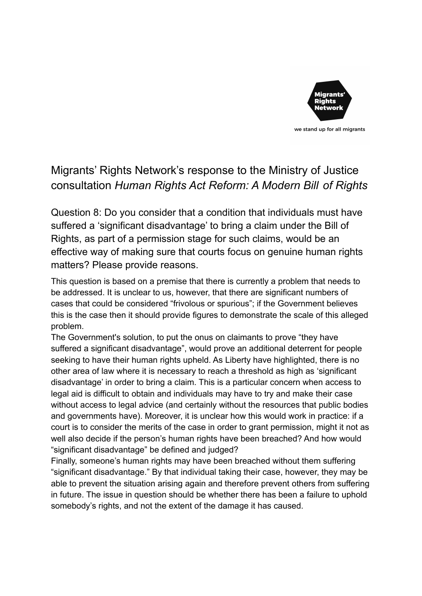

## Migrants' Rights Network's response to the Ministry of Justice consultation *Human Rights Act Reform: A Modern Bill of Rights*

Question 8: Do you consider that a condition that individuals must have suffered a 'significant disadvantage' to bring a claim under the Bill of Rights, as part of a permission stage for such claims, would be an effective way of making sure that courts focus on genuine human rights matters? Please provide reasons.

This question is based on a premise that there is currently a problem that needs to be addressed. It is unclear to us, however, that there are significant numbers of cases that could be considered "frivolous or spurious"; if the Government believes this is the case then it should provide figures to demonstrate the scale of this alleged problem.

The Government's solution, to put the onus on claimants to prove "they have suffered a significant disadvantage", would prove an additional deterrent for people seeking to have their human rights upheld. As Liberty have highlighted, there is no other area of law where it is necessary to reach a threshold as high as 'significant disadvantage' in order to bring a claim. This is a particular concern when access to legal aid is difficult to obtain and individuals may have to try and make their case without access to legal advice (and certainly without the resources that public bodies and governments have). Moreover, it is unclear how this would work in practice: if a court is to consider the merits of the case in order to grant permission, might it not as well also decide if the person's human rights have been breached? And how would "significant disadvantage" be defined and judged?

Finally, someone's human rights may have been breached without them suffering "significant disadvantage." By that individual taking their case, however, they may be able to prevent the situation arising again and therefore prevent others from suffering in future. The issue in question should be whether there has been a failure to uphold somebody's rights, and not the extent of the damage it has caused.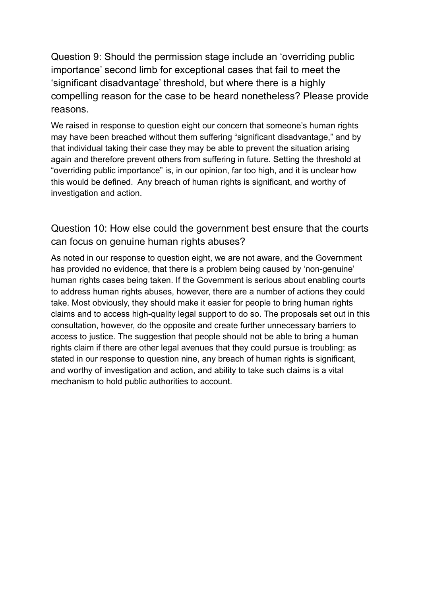Question 9: Should the permission stage include an 'overriding public importance' second limb for exceptional cases that fail to meet the 'significant disadvantage' threshold, but where there is a highly compelling reason for the case to be heard nonetheless? Please provide reasons.

We raised in response to question eight our concern that someone's human rights may have been breached without them suffering "significant disadvantage," and by that individual taking their case they may be able to prevent the situation arising again and therefore prevent others from suffering in future. Setting the threshold at "overriding public importance" is, in our opinion, far too high, and it is unclear how this would be defined. Any breach of human rights is significant, and worthy of investigation and action.

Question 10: How else could the government best ensure that the courts can focus on genuine human rights abuses?

As noted in our response to question eight, we are not aware, and the Government has provided no evidence, that there is a problem being caused by 'non-genuine' human rights cases being taken. If the Government is serious about enabling courts to address human rights abuses, however, there are a number of actions they could take. Most obviously, they should make it easier for people to bring human rights claims and to access high-quality legal support to do so. The proposals set out in this consultation, however, do the opposite and create further unnecessary barriers to access to justice. The suggestion that people should not be able to bring a human rights claim if there are other legal avenues that they could pursue is troubling: as stated in our response to question nine, any breach of human rights is significant, and worthy of investigation and action, and ability to take such claims is a vital mechanism to hold public authorities to account.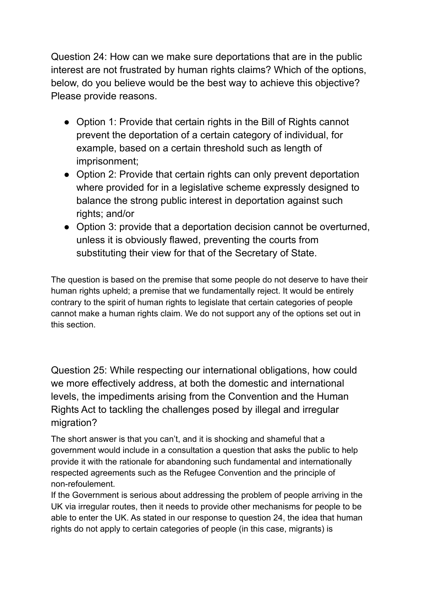Question 24: How can we make sure deportations that are in the public interest are not frustrated by human rights claims? Which of the options, below, do you believe would be the best way to achieve this objective? Please provide reasons.

- Option 1: Provide that certain rights in the Bill of Rights cannot prevent the deportation of a certain category of individual, for example, based on a certain threshold such as length of imprisonment;
- Option 2: Provide that certain rights can only prevent deportation where provided for in a legislative scheme expressly designed to balance the strong public interest in deportation against such rights; and/or
- Option 3: provide that a deportation decision cannot be overturned, unless it is obviously flawed, preventing the courts from substituting their view for that of the Secretary of State.

The question is based on the premise that some people do not deserve to have their human rights upheld; a premise that we fundamentally reject. It would be entirely contrary to the spirit of human rights to legislate that certain categories of people cannot make a human rights claim. We do not support any of the options set out in this section.

Question 25: While respecting our international obligations, how could we more effectively address, at both the domestic and international levels, the impediments arising from the Convention and the Human Rights Act to tackling the challenges posed by illegal and irregular migration?

The short answer is that you can't, and it is shocking and shameful that a government would include in a consultation a question that asks the public to help provide it with the rationale for abandoning such fundamental and internationally respected agreements such as the Refugee Convention and the principle of non-refoulement.

If the Government is serious about addressing the problem of people arriving in the UK via irregular routes, then it needs to provide other mechanisms for people to be able to enter the UK. As stated in our response to question 24, the idea that human rights do not apply to certain categories of people (in this case, migrants) is